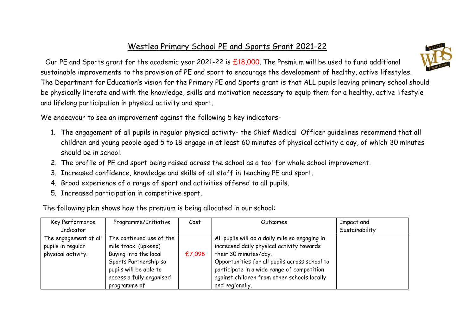## Westlea Primary School PE and Sports Grant 2021-22



 Our PE and Sports grant for the academic year 2021-22 is £18,000. The Premium will be used to fund additional sustainable improvements to the provision of PE and sport to encourage the development of healthy, active lifestyles. The Department for Education's vision for the Primary PE and Sports grant is that ALL pupils leaving primary school should be physically literate and with the knowledge, skills and motivation necessary to equip them for a healthy, active lifestyle and lifelong participation in physical activity and sport.

We endeavour to see an improvement against the following 5 key indicators-

- 1. The engagement of all pupils in regular physical activity- the Chief Medical Officer guidelines recommend that all children and young people aged 5 to 18 engage in at least 60 minutes of physical activity a day, of which 30 minutes should be in school.
- 2. The profile of PE and sport being raised across the school as a tool for whole school improvement.
- 3. Increased confidence, knowledge and skills of all staff in teaching PE and sport.
- 4. Broad experience of a range of sport and activities offered to all pupils.
- 5. Increased participation in competitive sport.

The following plan shows how the premium is being allocated in our school:

| Key Performance<br>Indicator                                     | Programme/Initiative                                                                                                                                                     | Cost   | Outcomes                                                                                                                                                                                                                                                                              | Impact and<br>Sustainability |
|------------------------------------------------------------------|--------------------------------------------------------------------------------------------------------------------------------------------------------------------------|--------|---------------------------------------------------------------------------------------------------------------------------------------------------------------------------------------------------------------------------------------------------------------------------------------|------------------------------|
| The engagement of all<br>pupils in regular<br>physical activity. | The continued use of the<br>mile track. (upkeep)<br>Buying into the local<br>Sports Partnership so<br>pupils will be able to<br>access a fully organised<br>programme of | £7,098 | All pupils will do a daily mile so engaging in<br>increased daily physical activity towards<br>their 30 minutes/day.<br>Opportunities for all pupils across school to<br>participate in a wide range of competition<br>against children from other schools locally<br>and regionally. |                              |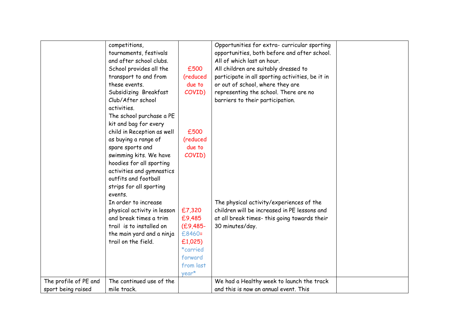|                       | competitions,               |              | Opportunities for extra- curricular sporting     |  |
|-----------------------|-----------------------------|--------------|--------------------------------------------------|--|
|                       |                             |              |                                                  |  |
|                       | tournaments, festivals      |              | opportunities, both before and after school.     |  |
|                       | and after school clubs.     |              | All of which last an hour.                       |  |
|                       | School provides all the     | £500         | All children are suitably dressed to             |  |
|                       | transport to and from       | (reduced     | participate in all sporting activities, be it in |  |
|                       | these events.               | due to       | or out of school, where they are                 |  |
|                       | Subsidizing Breakfast       | COVID)       | representing the school. There are no            |  |
|                       | Club/After school           |              | barriers to their participation.                 |  |
|                       | activities.                 |              |                                                  |  |
|                       | The school purchase a PE    |              |                                                  |  |
|                       | kit and bag for every       |              |                                                  |  |
|                       | child in Reception as well  | £500         |                                                  |  |
|                       | as buying a range of        | (reduced     |                                                  |  |
|                       | spare sports and            | due to       |                                                  |  |
|                       | swimming kits. We have      | COVID)       |                                                  |  |
|                       | hoodies for all sporting    |              |                                                  |  |
|                       | activities and gymnastics   |              |                                                  |  |
|                       | outfits and football        |              |                                                  |  |
|                       |                             |              |                                                  |  |
|                       | strips for all sporting     |              |                                                  |  |
|                       | events.                     |              |                                                  |  |
|                       | In order to increase        |              | The physical activity/experiences of the         |  |
|                       | physical activity in lesson | £7,320       | children will be increased in PE lessons and     |  |
|                       | and break times a trim      | £9,485       | at all break times- this going towards their     |  |
|                       | trail is to installed on    | $(E9, 485 -$ | 30 minutes/day.                                  |  |
|                       | the main yard and a ninja   | £8460=       |                                                  |  |
|                       | trail on the field.         | £1,025)      |                                                  |  |
|                       |                             | *carried     |                                                  |  |
|                       |                             | forward      |                                                  |  |
|                       |                             | from last    |                                                  |  |
|                       |                             | year*        |                                                  |  |
| The profile of PE and | The continued use of the    |              | We had a Healthy week to launch the track        |  |
| sport being raised    | mile track.                 |              | and this is now an annual event. This            |  |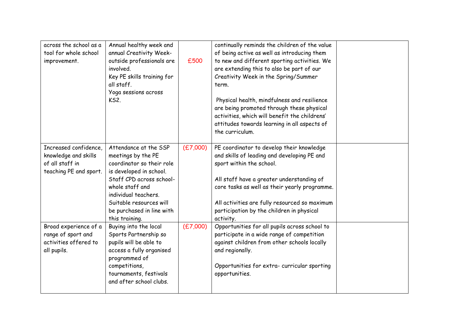| across the school as a<br>tool for whole school<br>improvement.                            | Annual healthy week and<br>annual Creativity Week-<br>outside professionals are<br>involved.<br>Key PE skills training for<br>all staff.<br>Yoga sessions across<br><b>KS2.</b>                                                                      | £500     | continually reminds the children of the value<br>of being active as well as introducing them<br>to new and different sporting activities. We<br>are extending this to also be part of our<br>Creativity Week in the Spring/Summer<br>term.<br>Physical health, mindfulness and resilience<br>are being promoted through these physical<br>activities, which will benefit the childrens'<br>attitudes towards learning in all aspects of<br>the curriculum. |  |
|--------------------------------------------------------------------------------------------|------------------------------------------------------------------------------------------------------------------------------------------------------------------------------------------------------------------------------------------------------|----------|------------------------------------------------------------------------------------------------------------------------------------------------------------------------------------------------------------------------------------------------------------------------------------------------------------------------------------------------------------------------------------------------------------------------------------------------------------|--|
| Increased confidence,<br>knowledge and skills<br>of all staff in<br>teaching PE and sport. | Attendance at the SSP<br>meetings by the PE<br>coordinator so their role<br>is developed in school.<br>Staff CPD across school-<br>whole staff and<br>individual teachers.<br>Suitable resources will<br>be purchased in line with<br>this training. | (E7,000) | PE coordinator to develop their knowledge<br>and skills of leading and developing PE and<br>sport within the school.<br>All staff have a greater understanding of<br>core tasks as well as their yearly programme.<br>All activities are fully resourced so maximum<br>participation by the children in physical<br>activity.                                                                                                                              |  |
| Broad experience of a<br>range of sport and<br>activities offered to<br>all pupils.        | Buying into the local<br>Sports Partnership so<br>pupils will be able to<br>access a fully organised<br>programmed of<br>competitions,<br>tournaments, festivals<br>and after school clubs.                                                          | (E7,000) | Opportunities for all pupils across school to<br>participate in a wide range of competition<br>against children from other schools locally<br>and regionally.<br>Opportunities for extra- curricular sporting<br>opportunities.                                                                                                                                                                                                                            |  |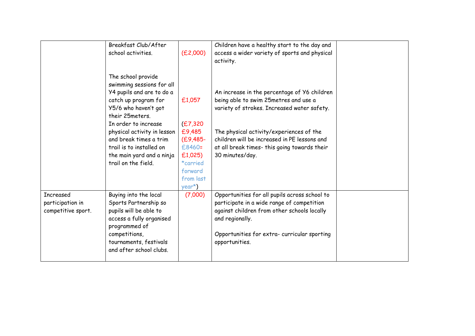|                                                            | Breakfast Club/After<br>school activities.                                                                                                                                                                                                                                                                       | (E2,000)                                                                                                          | Children have a healthy start to the day and<br>access a wider variety of sports and physical<br>activity.                                                                                                                                                                                          |  |
|------------------------------------------------------------|------------------------------------------------------------------------------------------------------------------------------------------------------------------------------------------------------------------------------------------------------------------------------------------------------------------|-------------------------------------------------------------------------------------------------------------------|-----------------------------------------------------------------------------------------------------------------------------------------------------------------------------------------------------------------------------------------------------------------------------------------------------|--|
|                                                            | The school provide<br>swimming sessions for all<br>Y4 pupils and are to do a<br>catch up program for<br>Y5/6 who haven't got<br>their 25meters.<br>In order to increase<br>physical activity in lesson<br>and break times a trim<br>trail is to installed on<br>the main yard and a ninja<br>trail on the field. | £1,057<br>(E7, 320)<br>£9,485<br>$(E9, 485 -$<br>£8460=<br>£1,025)<br>*carried<br>forward<br>from last<br>$year*$ | An increase in the percentage of Y6 children<br>being able to swim 25metres and use a<br>variety of strokes. Increased water safety.<br>The physical activity/experiences of the<br>children will be increased in PE lessons and<br>at all break times- this going towards their<br>30 minutes/day. |  |
| <b>Increased</b><br>participation in<br>competitive sport. | Buying into the local<br>Sports Partnership so<br>pupils will be able to<br>access a fully organised<br>programmed of<br>competitions,<br>tournaments, festivals<br>and after school clubs.                                                                                                                      | (7,000)                                                                                                           | Opportunities for all pupils across school to<br>participate in a wide range of competition<br>against children from other schools locally<br>and regionally.<br>Opportunities for extra- curricular sporting<br>opportunities.                                                                     |  |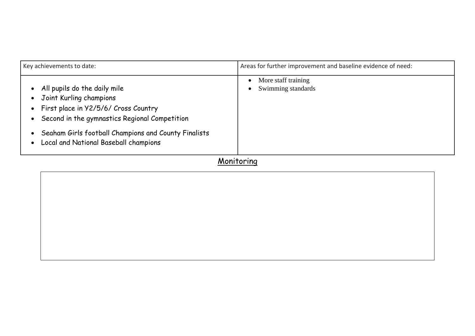| Key achievements to date:                                                                                                                                                                                                                         | Areas for further improvement and baseline evidence of need:        |  |  |  |
|---------------------------------------------------------------------------------------------------------------------------------------------------------------------------------------------------------------------------------------------------|---------------------------------------------------------------------|--|--|--|
| All pupils do the daily mile<br>Joint Kurling champions<br>First place in Y2/5/6/ Cross Country<br>Second in the gymnastics Regional Competition<br>Seaham Girls football Champions and County Finalists<br>Local and National Baseball champions | More staff training<br>$\bullet$<br>Swimming standards<br>$\bullet$ |  |  |  |
|                                                                                                                                                                                                                                                   |                                                                     |  |  |  |